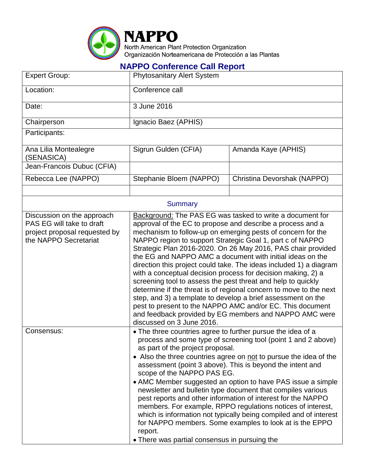

## **NAPPO Conference Call Report**

| <b>Expert Group:</b>                                                                                              | <b>Phytosanitary Alert System</b>                                                                                                                                                                                                                                                                                                                                                                                                                                                                                                                                                                                                                                                                                                                                                                                                                                                |                             |  |  |
|-------------------------------------------------------------------------------------------------------------------|----------------------------------------------------------------------------------------------------------------------------------------------------------------------------------------------------------------------------------------------------------------------------------------------------------------------------------------------------------------------------------------------------------------------------------------------------------------------------------------------------------------------------------------------------------------------------------------------------------------------------------------------------------------------------------------------------------------------------------------------------------------------------------------------------------------------------------------------------------------------------------|-----------------------------|--|--|
| Location:                                                                                                         | Conference call                                                                                                                                                                                                                                                                                                                                                                                                                                                                                                                                                                                                                                                                                                                                                                                                                                                                  |                             |  |  |
| Date:                                                                                                             | 3 June 2016                                                                                                                                                                                                                                                                                                                                                                                                                                                                                                                                                                                                                                                                                                                                                                                                                                                                      |                             |  |  |
| Chairperson                                                                                                       | Ignacio Baez (APHIS)                                                                                                                                                                                                                                                                                                                                                                                                                                                                                                                                                                                                                                                                                                                                                                                                                                                             |                             |  |  |
| Participants:                                                                                                     |                                                                                                                                                                                                                                                                                                                                                                                                                                                                                                                                                                                                                                                                                                                                                                                                                                                                                  |                             |  |  |
| Ana Lilia Montealegre<br>(SENASICA)                                                                               | Sigrun Gulden (CFIA)                                                                                                                                                                                                                                                                                                                                                                                                                                                                                                                                                                                                                                                                                                                                                                                                                                                             | Amanda Kaye (APHIS)         |  |  |
| Jean-Francois Dubuc (CFIA)                                                                                        |                                                                                                                                                                                                                                                                                                                                                                                                                                                                                                                                                                                                                                                                                                                                                                                                                                                                                  |                             |  |  |
| Rebecca Lee (NAPPO)                                                                                               | Stephanie Bloem (NAPPO)                                                                                                                                                                                                                                                                                                                                                                                                                                                                                                                                                                                                                                                                                                                                                                                                                                                          | Christina Devorshak (NAPPO) |  |  |
|                                                                                                                   |                                                                                                                                                                                                                                                                                                                                                                                                                                                                                                                                                                                                                                                                                                                                                                                                                                                                                  |                             |  |  |
| <b>Summary</b>                                                                                                    |                                                                                                                                                                                                                                                                                                                                                                                                                                                                                                                                                                                                                                                                                                                                                                                                                                                                                  |                             |  |  |
| Discussion on the approach<br>PAS EG will take to draft<br>project proposal requested by<br>the NAPPO Secretariat | Background: The PAS EG was tasked to write a document for<br>approval of the EC to propose and describe a process and a<br>mechanism to follow-up on emerging pests of concern for the<br>NAPPO region to support Strategic Goal 1, part c of NAPPO<br>Strategic Plan 2016-2020. On 26 May 2016, PAS chair provided<br>the EG and NAPPO AMC a document with initial ideas on the<br>direction this project could take. The ideas included 1) a diagram<br>with a conceptual decision process for decision making, 2) a<br>screening tool to assess the pest threat and help to quickly<br>determine if the threat is of regional concern to move to the next<br>step, and 3) a template to develop a brief assessment on the<br>pest to present to the NAPPO AMC and/or EC. This document<br>and feedback provided by EG members and NAPPO AMC were<br>discussed on 3 June 2016. |                             |  |  |
| Consensus:                                                                                                        | • The three countries agree to further pursue the idea of a<br>process and some type of screening tool (point 1 and 2 above)<br>as part of the project proposal.<br>• Also the three countries agree on not to pursue the idea of the<br>assessment (point 3 above). This is beyond the intent and<br>scope of the NAPPO PAS EG.<br>• AMC Member suggested an option to have PAS issue a simple<br>newsletter and bulletin type document that compiles various<br>pest reports and other information of interest for the NAPPO<br>members. For example, RPPO regulations notices of interest,<br>which is information not typically being compiled and of interest<br>for NAPPO members. Some examples to look at is the EPPO<br>report.<br>• There was partial consensus in pursuing the                                                                                        |                             |  |  |